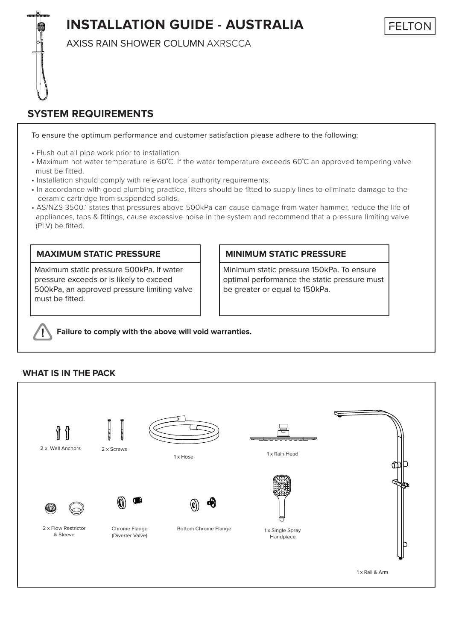# **INSTALLATION GUIDE - AUSTRALIA**

FELTON

AXISS RAIN SHOWER COLUMN AXRSCCA

## **SYSTEM REQUIREMENTS**

To ensure the optimum performance and customer satisfaction please adhere to the following:

- Flush out all pipe work prior to installation.
- Maximum hot water temperature is 60˚C. If the water temperature exceeds 60˚C an approved tempering valve must be fitted.
- Installation should comply with relevant local authority requirements.
- In accordance with good plumbing practice, filters should be fitted to supply lines to eliminate damage to the ceramic cartridge from suspended solids.
- AS/NZS 3500.1 states that pressures above 500kPa can cause damage from water hammer, reduce the life of appliances, taps & fittings, cause excessive noise in the system and recommend that a pressure limiting valve (PLV) be fitted.

#### **MAXIMUM STATIC PRESSURE**

Maximum static pressure 500kPa. If water pressure exceeds or is likely to exceed 500kPa, an approved pressure limiting valve must be fitted.

#### **MINIMUM STATIC PRESSURE**

Minimum static pressure 150kPa. To ensure optimal performance the static pressure must be greater or equal to 150kPa.

**Failure to comply with the above will void warranties.**

### **WHAT IS IN THE PACK**

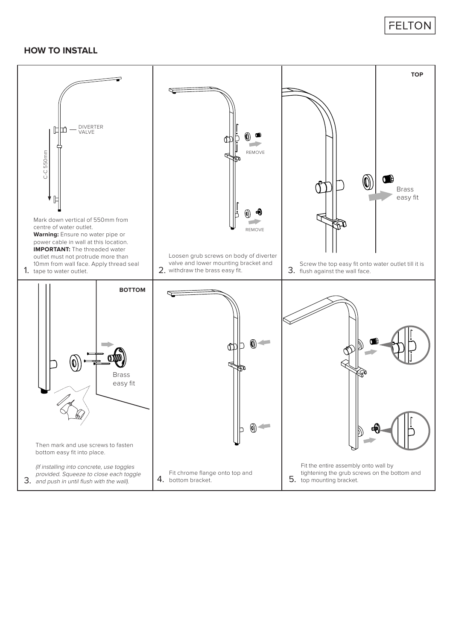## **FELTON**

#### **HOW TO INSTALL**